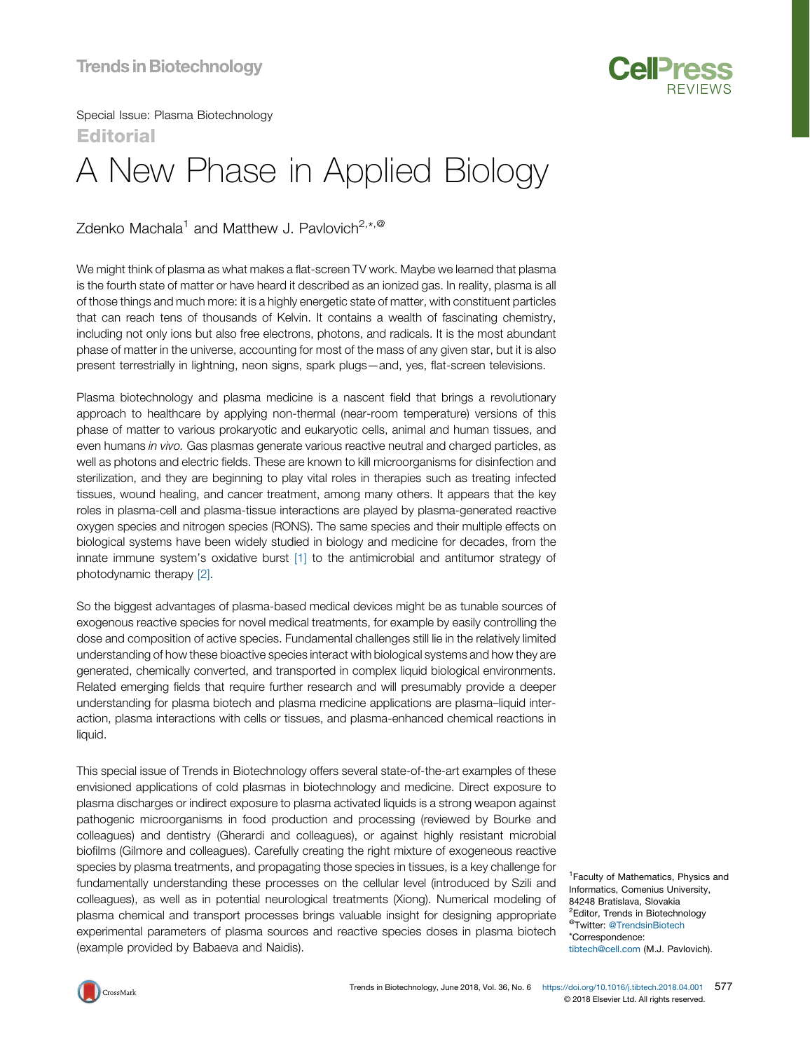

Special Issue: Plasma Biotechnology **Editorial** 

## A New Phase in Applied Biology

Zdenko Machala<sup>1</sup> and Matthew J. Pavlovich<sup>2,\*,@</sup>

We might think of plasma as what makes a flat-screen TV work. Maybe we learned that plasma is the fourth state of matter or have heard it described as an ionized gas. In reality, plasma is all of those things and much more: it is a highly energetic state of matter, with constituent particles that can reach tens of thousands of Kelvin. It contains a wealth of fascinating chemistry, including not only ions but also free electrons, photons, and radicals. It is the most abundant phase of matter in the universe, accounting for most of the mass of any given star, but it is also present terrestrially in lightning, neon signs, spark plugs—and, yes, flat-screen televisions.

Plasma biotechnology and plasma medicine is a nascent field that brings a revolutionary approach to healthcare by applying non-thermal (near-room temperature) versions of this phase of matter to various prokaryotic and eukaryotic cells, animal and human tissues, and even humans in vivo. Gas plasmas generate various reactive neutral and charged particles, as well as photons and electric fields. These are known to kill microorganisms for disinfection and sterilization, and they are beginning to play vital roles in therapies such as treating infected tissues, wound healing, and cancer treatment, among many others. It appears that the key roles in plasma-cell and plasma-tissue interactions are played by plasma-generated reactive oxygen species and nitrogen species (RONS). The same species and their multiple effects on biological systems have been widely studied in biology and medicine for decades, from the innate immune system's oxidative burst [\[1\]](#page-1-0) to the antimicrobial and antitumor strategy of photodynamic therapy [\[2\]](#page-1-0).

So the biggest advantages of plasma-based medical devices might be as tunable sources of exogenous reactive species for novel medical treatments, for example by easily controlling the dose and composition of active species. Fundamental challenges still lie in the relatively limited understanding of how these bioactive species interact with biological systems and how they are generated, chemically converted, and transported in complex liquid biological environments. Related emerging fields that require further research and will presumably provide a deeper understanding for plasma biotech and plasma medicine applications are plasma–liquid interaction, plasma interactions with cells or tissues, and plasma-enhanced chemical reactions in liquid.

This special issue of Trends in Biotechnology offers several state-of-the-art examples of these envisioned applications of cold plasmas in biotechnology and medicine. Direct exposure to plasma discharges or indirect exposure to plasma activated liquids is a strong weapon against pathogenic microorganisms in food production and processing (reviewed by Bourke and colleagues) and dentistry (Gherardi and colleagues), or against highly resistant microbial biofilms (Gilmore and colleagues). Carefully creating the right mixture of exogeneous reactive species by plasma treatments, and propagating those species in tissues, is a key challenge for fundamentally understanding these processes on the cellular level (introduced by Szili and colleagues), as well as in potential neurological treatments (Xiong). Numerical modeling of plasma chemical and transport processes brings valuable insight for designing appropriate experimental parameters of plasma sources and reactive species doses in plasma biotech (example provided by Babaeva and Naidis).

<sup>1</sup> Faculty of Mathematics, Physics and Informatics, Comenius University, 84248 Bratislava, Slovakia <sup>2</sup>Editor, Trends in Biotechnology @Twitter: [@TrendsinBiotech](http://www.twitter.com/TrendsinBiotech) \*Correspondence: [tibtech@cell.com](mailto:tibtech@cell.com) (M.J. Pavlovich).